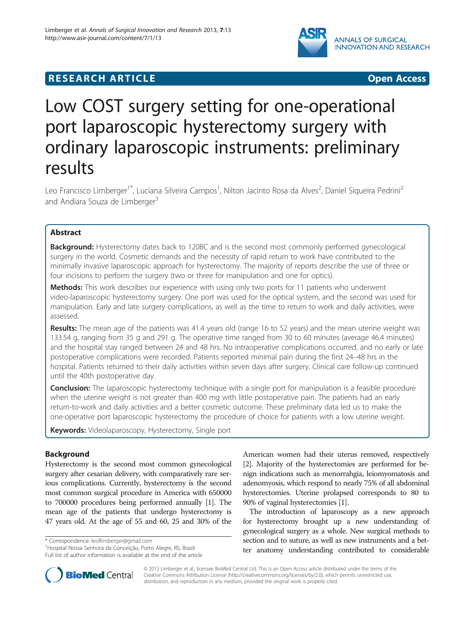

# **RESEARCH ARTICLE CONSUMING A RESEARCH ARTICLE**

# Low COST surgery setting for one-operational port laparoscopic hysterectomy surgery with ordinary laparoscopic instruments: preliminary results

Leo Francisco Limberger<sup>1\*</sup>, Luciana Silveira Campos<sup>1</sup>, Nilton Jacinto Rosa da Alves<sup>2</sup>, Daniel Siqueira Pedrini<sup>2</sup> and Andiara Souza de Limberger<sup>3</sup>

# Abstract

Background: Hysterectomy dates back to 120BC and is the second most commonly performed gynecological surgery in the world. Cosmetic demands and the necessity of rapid return to work have contributed to the minimally invasive laparoscopic approach for hysterectomy. The majority of reports describe the use of three or four incisions to perform the surgery (two or three for manipulation and one for optics).

Methods: This work describes our experience with using only two ports for 11 patients who underwent video-laparoscopic hysterectomy surgery. One port was used for the optical system, and the second was used for manipulation. Early and late surgery complications, as well as the time to return to work and daily activities, were assessed.

Results: The mean age of the patients was 41.4 years old (range 16 to 52 years) and the mean uterine weight was 133.54 g, ranging from 35 g and 291 g. The operative time ranged from 30 to 60 minutes (average 46.4 minutes) and the hospital stay ranged between 24 and 48 hrs. No intraoperative complications occurred, and no early or late postoperative complications were recorded. Patients reported minimal pain during the first 24–48 hrs in the hospital. Patients returned to their daily activities within seven days after surgery. Clinical care follow-up continued until the 40th postoperative day.

**Conclusion:** The laparoscopic hysterectomy technique with a single port for manipulation is a feasible procedure when the uterine weight is not greater than 400 mg with little postoperative pain. The patients had an early return-to-work and daily activities and a better cosmetic outcome. These preliminary data led us to make the one-operative port laparoscopic hysterectomy the procedure of choice for patients with a low uterine weight.

Keywords: Videolaparoscopy, Hysterectomy, Single port

# Background

Hysterectomy is the second most common gynecological surgery after cesarian delivery, with comparatively rare serious complications. Currently, hysterectomy is the second most common surgical procedure in America with 650000 to 700000 procedures being performed annually [[1](#page-3-0)]. The mean age of the patients that undergo hysterectomy is 47 years old. At the age of 55 and 60, 25 and 30% of the

\* Correspondence: [leoflimberger@gmail.com](mailto:leoflimberger@gmail.com) <sup>1</sup>

<sup>1</sup> Hospital Nossa Senhora da Conceição, Porto Alegre, RS, Brazil Full list of author information is available at the end of the article

American women had their uterus removed, respectively [[2](#page-3-0)]. Majority of the hysterectomies are performed for benign indications such as menorrahgia, leiomyomatosis and adenomyosis, which respond to nearly 75% of all abdominal hysterectomies. Uterine prolapsed corresponds to 80 to 90% of vaginal hysterectomies [[1](#page-3-0)].

The introduction of laparoscopy as a new approach for hysterectomy brought up a new understanding of gynecological surgery as a whole. New surgical methods to section and to suture, as well as new instruments and a better anatomy understanding contributed to considerable



© 2013 Limberger et al.; licensee BioMed Central Ltd. This is an Open Access article distributed under the terms of the Creative Commons Attribution License (<http://creativecommons.org/licenses/by/2.0>), which permits unrestricted use, distribution, and reproduction in any medium, provided the original work is properly cited.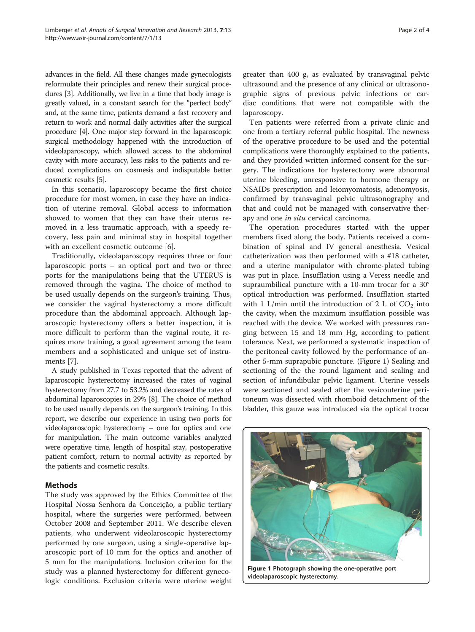advances in the field. All these changes made gynecologists reformulate their principles and renew their surgical procedures [\[3\]](#page-3-0). Additionally, we live in a time that body image is greatly valued, in a constant search for the "perfect body" and, at the same time, patients demand a fast recovery and return to work and normal daily activities after the surgical procedure [[4](#page-3-0)]. One major step forward in the laparoscopic surgical methodology happened with the introduction of videolaparoscopy, which allowed access to the abdominal cavity with more accuracy, less risks to the patients and reduced complications on cosmesis and indisputable better cosmetic results [\[5\]](#page-3-0).

In this scenario, laparoscopy became the first choice procedure for most women, in case they have an indication of uterine removal. Global access to information showed to women that they can have their uterus removed in a less traumatic approach, with a speedy recovery, less pain and minimal stay in hospital together with an excellent cosmetic outcome [[6\]](#page-3-0).

Traditionally, videolaparoscopy requires three or four laparoscopic ports – an optical port and two or three ports for the manipulations being that the UTERUS is removed through the vagina. The choice of method to be used usually depends on the surgeon's training. Thus, we consider the vaginal hysterectomy a more difficult procedure than the abdominal approach. Although laparoscopic hysterectomy offers a better inspection, it is more difficult to perform than the vaginal route, it requires more training, a good agreement among the team members and a sophisticated and unique set of instruments [[7\]](#page-3-0).

A study published in Texas reported that the advent of laparoscopic hysterectomy increased the rates of vaginal hysterectomy from 27.7 to 53.2% and decreased the rates of abdominal laparoscopies in 29% [\[8](#page-3-0)]. The choice of method to be used usually depends on the surgeon's training. In this report, we describe our experience in using two ports for videolaparoscopic hysterectomy – one for optics and one for manipulation. The main outcome variables analyzed were operative time, length of hospital stay, postoperative patient comfort, return to normal activity as reported by the patients and cosmetic results.

# Methods

The study was approved by the Ethics Committee of the Hospital Nossa Senhora da Conceição, a public tertiary hospital, where the surgeries were performed, between October 2008 and September 2011. We describe eleven patients, who underwent videolaroscopic hysterectomy performed by one surgeon, using a single-operative laparoscopic port of 10 mm for the optics and another of 5 mm for the manipulations. Inclusion criterion for the study was a planned hysterectomy for different gynecologic conditions. Exclusion criteria were uterine weight

greater than 400 g, as evaluated by transvaginal pelvic ultrasound and the presence of any clinical or ultrasonographic signs of previous pelvic infections or cardiac conditions that were not compatible with the laparoscopy.

Ten patients were referred from a private clinic and one from a tertiary referral public hospital. The newness of the operative procedure to be used and the potential complications were thoroughly explained to the patients, and they provided written informed consent for the surgery. The indications for hysterectomy were abnormal uterine bleeding, unresponsive to hormone therapy or NSAIDs prescription and leiomyomatosis, adenomyosis, confirmed by transvaginal pelvic ultrasonography and that and could not be managed with conservative therapy and one *in situ* cervical carcinoma.

The operation procedures started with the upper members fixed along the body. Patients received a combination of spinal and IV general anesthesia. Vesical catheterization was then performed with a #18 catheter, and a uterine manipulator with chrome-plated tubing was put in place. Insufflation using a Veress needle and supraumbilical puncture with a 10-mm trocar for a 30° optical introduction was performed. Insufflation started with 1 L/min until the introduction of 2 L of  $CO<sub>2</sub>$  into the cavity, when the maximum insufflation possible was reached with the device. We worked with pressures ranging between 15 and 18 mm Hg, according to patient tolerance. Next, we performed a systematic inspection of the peritoneal cavity followed by the performance of another 5-mm suprapubic puncture. (Figure 1) Sealing and sectioning of the the round ligament and sealing and section of infundibular pelvic ligament. Uterine vessels were sectioned and sealed after the vesicouterine peritoneum was dissected with rhomboid detachment of the bladder, this gauze was introduced via the optical trocar



Figure 1 Photograph showing the one-operative port videolaparoscopic hysterectomy.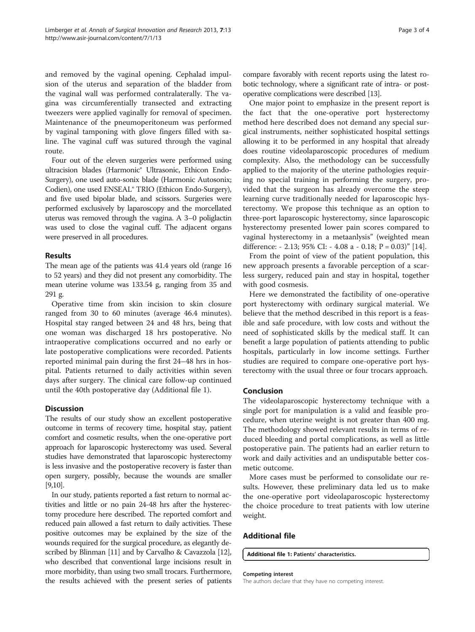and removed by the vaginal opening. Cephalad impulsion of the uterus and separation of the bladder from the vaginal wall was performed contralaterally. The vagina was circumferentially transected and extracting tweezers were applied vaginally for removal of specimen. Maintenance of the pneumoperitoneum was performed by vaginal tamponing with glove fingers filled with saline. The vaginal cuff was sutured through the vaginal route.

Four out of the eleven surgeries were performed using ultracision blades (Harmonic® Ultrasonic, Ethicon Endo-Surgery), one used auto-sonix blade (Harmonic Autosonix; Codien), one used ENSEAL® TRIO (Ethicon Endo-Surgery), and five used bipolar blade, and scissors. Surgeries were performed exclusively by laparoscopy and the morcellated uterus was removed through the vagina. A 3–0 poliglactin was used to close the vaginal cuff. The adjacent organs were preserved in all procedures.

# Results

The mean age of the patients was 41.4 years old (range 16 to 52 years) and they did not present any comorbidity. The mean uterine volume was 133.54 g, ranging from 35 and 291 g.

Operative time from skin incision to skin closure ranged from 30 to 60 minutes (average 46.4 minutes). Hospital stay ranged between 24 and 48 hrs, being that one woman was discharged 18 hrs postoperative. No intraoperative complications occurred and no early or late postoperative complications were recorded. Patients reported minimal pain during the first 24–48 hrs in hospital. Patients returned to daily activities within seven days after surgery. The clinical care follow-up continued until the 40th postoperative day (Additional file 1).

# **Discussion**

The results of our study show an excellent postoperative outcome in terms of recovery time, hospital stay, patient comfort and cosmetic results, when the one-operative port approach for laparoscopic hysterectomy was used. Several studies have demonstrated that laparoscopic hysterectomy is less invasive and the postoperative recovery is faster than open surgery, possibly, because the wounds are smaller  $|9,10|$ .

In our study, patients reported a fast return to normal activities and little or no pain 24-48 hrs after the hysterectomy procedure here described. The reported comfort and reduced pain allowed a fast return to daily activities. These positive outcomes may be explained by the size of the wounds required for the surgical procedure, as elegantly described by Blinman [\[11\]](#page-3-0) and by Carvalho & Cavazzola [\[12](#page-3-0)], who described that conventional large incisions result in more morbidity, than using two small trocars. Furthermore, the results achieved with the present series of patients compare favorably with recent reports using the latest robotic technology, where a significant rate of intra- or postoperative complications were described [\[13\]](#page-3-0).

One major point to emphasize in the present report is the fact that the one-operative port hysterectomy method here described does not demand any special surgical instruments, neither sophisticated hospital settings allowing it to be performed in any hospital that already does routine videolaparoscopic procedures of medium complexity. Also, the methodology can be successfully applied to the majority of the uterine pathologies requiring no special training in performing the surgery, provided that the surgeon has already overcome the steep learning curve traditionally needed for laparoscopic hysterectomy. We propose this technique as an option to three-port laparoscopic hysterectomy, since laparoscopic hysterectomy presented lower pain scores compared to vaginal hysterectomy in a metaanlysis" (weighted mean difference: - 2.13; 95% CI: - 4.08 a - 0.18; P = 0.03)" [\[14\]](#page-3-0).

From the point of view of the patient population, this new approach presents a favorable perception of a scarless surgery, reduced pain and stay in hospital, together with good cosmesis.

Here we demonstrated the factibility of one-operative port hysterectomy with ordinary surgical material. We believe that the method described in this report is a feasible and safe procedure, with low costs and without the need of sophisticated skills by the medical staff. It can benefit a large population of patients attending to public hospitals, particularly in low income settings. Further studies are required to compare one-operative port hysterectomy with the usual three or four trocars approach.

# Conclusion

The videolaparoscopic hysterectomy technique with a single port for manipulation is a valid and feasible procedure, when uterine weight is not greater than 400 mg. The methodology showed relevant results in terms of reduced bleeding and portal complications, as well as little postoperative pain. The patients had an earlier return to work and daily activities and an undisputable better cosmetic outcome.

More cases must be performed to consolidate our results. However, these preliminary data led us to make the one-operative port videolaparoscopic hysterectomy the choice procedure to treat patients with low uterine weight.

## Additional file

[Additional file 1:](http://www.biomedcentral.com/content/supplementary/1750-1164-7-13-S1.xlsx) Patients' characteristics.

#### Competing interest

The authors declare that they have no competing interest.